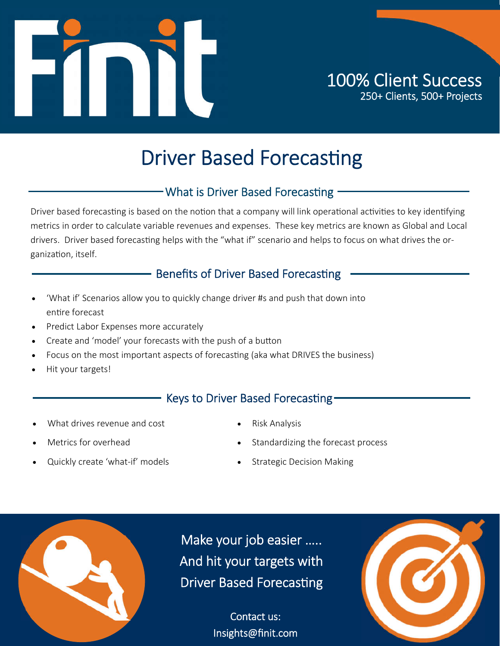

# **Driver Based Forecasting**

### - What is Driver Based Forecasting -

Driver based forecasting is based on the notion that a company will link operational activities to key identifying metrics in order to calculate variable revenues and expenses. These key metrics are known as Global and Local drivers. Driver based forecasting helps with the "what if" scenario and helps to focus on what drives the organization, itself.

### - Benefits of Driver Based Forecasting

- 'What if' Scenarios allow you to quickly change driver #s and push that down into entire forecast
- Predict Labor Expenses more accurately
- Create and 'model' your forecasts with the push of a button
- Focus on the most important aspects of forecasting (aka what DRIVES the business)
- Hit your targets!

### Keys to Driver Based Forecasting-

- What drives revenue and cost
	-
- Metrics for overhead
- Standardizing the forecast process
- Quickly create 'what-if' models
- Strategic Decision Making

Risk Analysis



Make your job easier ….. And hit your targets with Driver Based Forecasting

> Contact us: Insights@finit.com